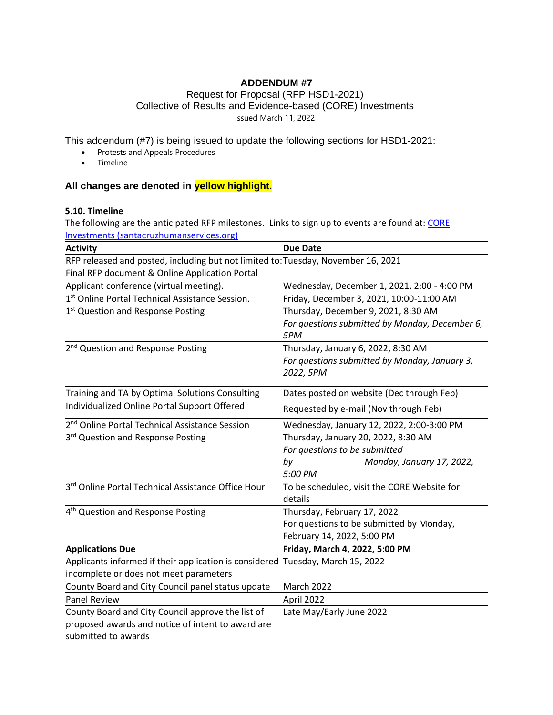# **ADDENDUM #7**

#### Request for Proposal (RFP HSD1-2021) Collective of Results and Evidence-based (CORE) Investments Issued March 11, 2022

This addendum (#7) is being issued to update the following sections for HSD1-2021:

- Protests and Appeals Procedures
- Timeline

## **All changes are denoted in yellow highlight.**

#### **5.10. Timeline**

The following are the anticipated RFP milestones. Links to sign up to events are found at: CORE [Investments \(santacruzhumanservices.org\)](https://santacruzhumanservices.org/Home/FundingOpportunities/RequestforProposals/COREInvestments)

| <b>Activity</b>                                                                   | <b>Due Date</b>                                        |
|-----------------------------------------------------------------------------------|--------------------------------------------------------|
| RFP released and posted, including but not limited to: Tuesday, November 16, 2021 |                                                        |
| Final RFP document & Online Application Portal                                    |                                                        |
| Applicant conference (virtual meeting).                                           | Wednesday, December 1, 2021, 2:00 - 4:00 PM            |
| 1st Online Portal Technical Assistance Session.                                   | Friday, December 3, 2021, 10:00-11:00 AM               |
| 1 <sup>st</sup> Question and Response Posting                                     | Thursday, December 9, 2021, 8:30 AM                    |
|                                                                                   | For questions submitted by Monday, December 6,<br>5PM  |
| 2 <sup>nd</sup> Question and Response Posting                                     | Thursday, January 6, 2022, 8:30 AM                     |
|                                                                                   | For questions submitted by Monday, January 3,          |
|                                                                                   | 2022, 5PM                                              |
| Training and TA by Optimal Solutions Consulting                                   | Dates posted on website (Dec through Feb)              |
| Individualized Online Portal Support Offered                                      | Requested by e-mail (Nov through Feb)                  |
| 2 <sup>nd</sup> Online Portal Technical Assistance Session                        | Wednesday, January 12, 2022, 2:00-3:00 PM              |
| 3rd Question and Response Posting                                                 | Thursday, January 20, 2022, 8:30 AM                    |
|                                                                                   | For questions to be submitted                          |
|                                                                                   | Monday, January 17, 2022,<br>by                        |
|                                                                                   | 5:00 PM                                                |
| 3rd Online Portal Technical Assistance Office Hour                                | To be scheduled, visit the CORE Website for<br>details |
| 4 <sup>th</sup> Question and Response Posting                                     | Thursday, February 17, 2022                            |
|                                                                                   | For questions to be submitted by Monday,               |
|                                                                                   | February 14, 2022, 5:00 PM                             |
| <b>Applications Due</b>                                                           | Friday, March 4, 2022, 5:00 PM                         |
| Applicants informed if their application is considered Tuesday, March 15, 2022    |                                                        |
| incomplete or does not meet parameters                                            |                                                        |
| County Board and City Council panel status update                                 | <b>March 2022</b>                                      |
| <b>Panel Review</b>                                                               | April 2022                                             |
| County Board and City Council approve the list of                                 | Late May/Early June 2022                               |
| proposed awards and notice of intent to award are                                 |                                                        |
| submitted to awards                                                               |                                                        |